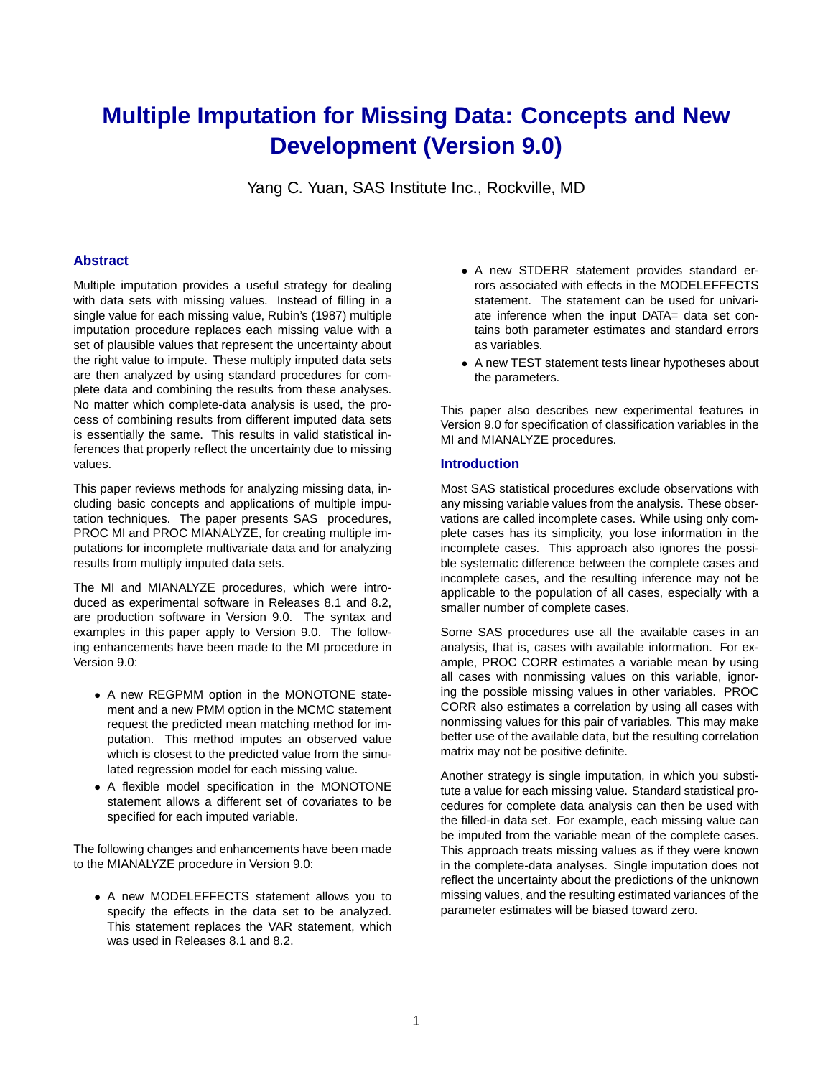# **Multiple Imputation for Missing Data: Concepts and New Development (Version 9.0)**

Yang C. Yuan, SAS Institute Inc., Rockville, MD

# **Abstract**

Multiple imputation provides a useful strategy for dealing with data sets with missing values. Instead of filling in a single value for each missing value, Rubin's (1987) multiple imputation procedure replaces each missing value with a set of plausible values that represent the uncertainty about the right value to impute. These multiply imputed data sets are then analyzed by using standard procedures for complete data and combining the results from these analyses. No matter which complete-data analysis is used, the process of combining results from different imputed data sets is essentially the same. This results in valid statistical inferences that properly reflect the uncertainty due to missing values.

This paper reviews methods for analyzing missing data, including basic concepts and applications of multiple imputation techniques. The paper presents SAS®procedures, PROC MI and PROC MIANALYZE, for creating multiple imputations for incomplete multivariate data and for analyzing results from multiply imputed data sets.

The MI and MIANALYZE procedures, which were introduced as experimental software in Releases 8.1 and 8.2, are production software in Version 9.0. The syntax and examples in this paper apply to Version 9.0. The following enhancements have been made to the MI procedure in Version 9.0:

- A new REGPMM option in the MONOTONE statement and a new PMM option in the MCMC statement request the predicted mean matching method for imputation. This method imputes an observed value which is closest to the predicted value from the simulated regression model for each missing value.
- A flexible model specification in the MONOTONE statement allows a different set of covariates to be specified for each imputed variable.

The following changes and enhancements have been made to the MIANALYZE procedure in Version 9.0:

• A new MODELEFFECTS statement allows you to specify the effects in the data set to be analyzed. This statement replaces the VAR statement, which was used in Releases 8.1 and 8.2.

- A new STDERR statement provides standard errors associated with effects in the MODELEFFECTS statement. The statement can be used for univariate inference when the input DATA= data set contains both parameter estimates and standard errors as variables.
- A new TEST statement tests linear hypotheses about the parameters.

This paper also describes new experimental features in Version 9.0 for specification of classification variables in the MI and MIANALYZE procedures.

# **Introduction**

Most SAS statistical procedures exclude observations with any missing variable values from the analysis. These observations are called incomplete cases. While using only complete cases has its simplicity, you lose information in the incomplete cases. This approach also ignores the possible systematic difference between the complete cases and incomplete cases, and the resulting inference may not be applicable to the population of all cases, especially with a smaller number of complete cases.

Some SAS procedures use all the available cases in an analysis, that is, cases with available information. For example, PROC CORR estimates a variable mean by using all cases with nonmissing values on this variable, ignoring the possible missing values in other variables. PROC CORR also estimates a correlation by using all cases with nonmissing values for this pair of variables. This may make better use of the available data, but the resulting correlation matrix may not be positive definite.

Another strategy is single imputation, in which you substitute a value for each missing value. Standard statistical procedures for complete data analysis can then be used with the filled-in data set. For example, each missing value can be imputed from the variable mean of the complete cases. This approach treats missing values as if they were known in the complete-data analyses. Single imputation does not reflect the uncertainty about the predictions of the unknown missing values, and the resulting estimated variances of the parameter estimates will be biased toward zero.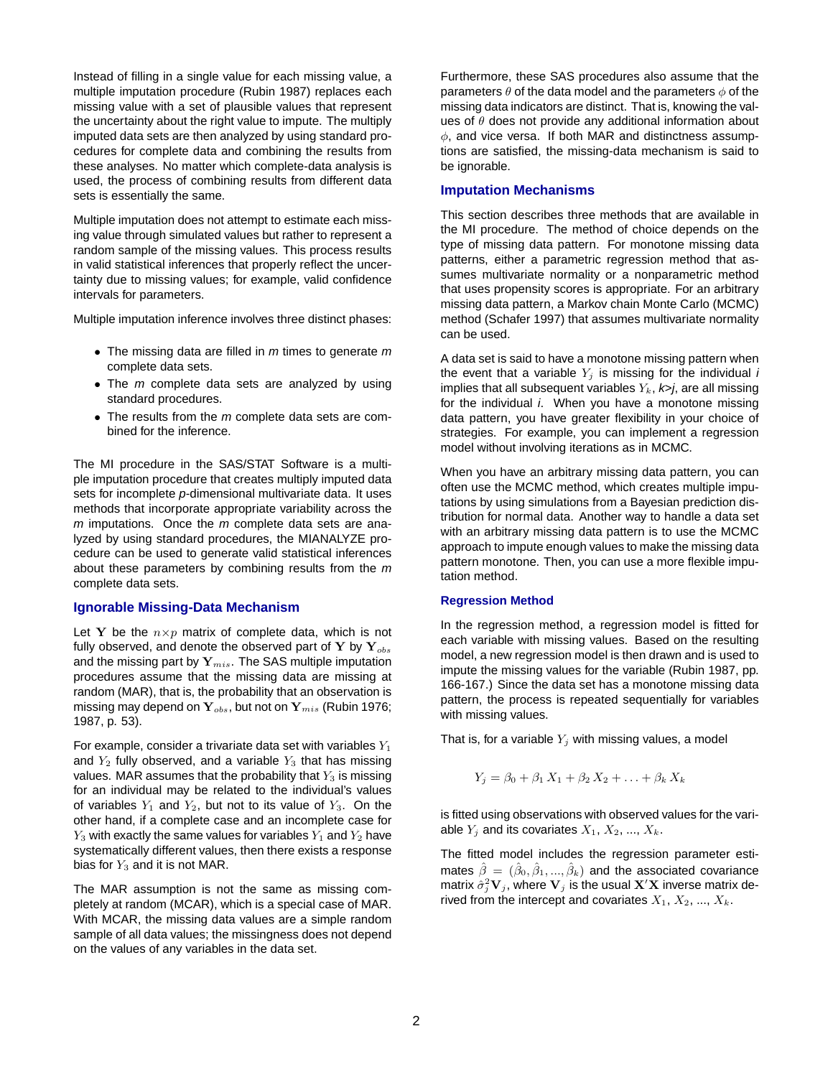Instead of filling in a single value for each missing value, a multiple imputation procedure (Rubin 1987) replaces each missing value with a set of plausible values that represent the uncertainty about the right value to impute. The multiply imputed data sets are then analyzed by using standard procedures for complete data and combining the results from these analyses. No matter which complete-data analysis is used, the process of combining results from different data sets is essentially the same.

Multiple imputation does not attempt to estimate each missing value through simulated values but rather to represent a random sample of the missing values. This process results in valid statistical inferences that properly reflect the uncertainty due to missing values; for example, valid confidence intervals for parameters.

Multiple imputation inference involves three distinct phases:

- The missing data are filled in  $m$  times to generate  $m$ complete data sets.
- The  $m$  complete data sets are analyzed by using standard procedures.
- $\bullet$  The results from the  $m$  complete data sets are combined for the inference.

The MI procedure in the SAS/STAT Software is a multiple imputation procedure that creates multiply imputed data sets for incomplete p-dimensional multivariate data. It uses methods that incorporate appropriate variability across the  $m$  imputations. Once the  $m$  complete data sets are analyzed by using standard procedures, the MIANALYZE procedure can be used to generate valid statistical inferences about these parameters by combining results from the  $m$ complete data sets.

#### **Ignorable Missing-Data Mechanism**

Let Y be the  $n \times p$  matrix of complete data, which is not fully observed, and denote the observed part of Y by  $Y_{obs}$ and the missing part by  $Y_{mis}$ . The SAS multiple imputation procedures assume that the missing data are missing at random (MAR), that is, the probability that an observation is missing may depend on  $Y_{obs}$ , but not on  $Y_{mis}$  (Rubin 1976; 1987, p. 53).

For example, consider a trivariate data set with variables  $Y_1$ and  $Y_2$  fully observed, and a variable  $Y_3$  that has missing values. MAR assumes that the probability that  $Y_3$  is missing for an individual may be related to the individual's values of variables  $Y_1$  and  $Y_2$ , but not to its value of  $Y_3$ . On the other hand, if a complete case and an incomplete case for  $Y_3$  with exactly the same values for variables  $Y_1$  and  $Y_2$  have systematically different values, then there exists a response bias for  $Y_3$  and it is not MAR.

The MAR assumption is not the same as missing completely at random (MCAR), which is a special case of MAR. With MCAR, the missing data values are a simple random sample of all data values; the missingness does not depend on the values of any variables in the data set.

Furthermore, these SAS procedures also assume that the parameters  $\theta$  of the data model and the parameters  $\phi$  of the missing data indicators are distinct. That is, knowing the values of  $\theta$  does not provide any additional information about  $\phi$ , and vice versa. If both MAR and distinctness assumptions are satisfied, the missing-data mechanism is said to be ignorable.

#### **Imputation Mechanisms**

This section describes three methods that are available in the MI procedure. The method of choice depends on the type of missing data pattern. For monotone missing data patterns, either a parametric regression method that assumes multivariate normality or a nonparametric method that uses propensity scores is appropriate. For an arbitrary missing data pattern, a Markov chain Monte Carlo (MCMC) method (Schafer 1997) that assumes multivariate normality can be used.

A data set is said to have a monotone missing pattern when the event that a variable  $Y_j$  is missing for the individual i implies that all subsequent variables  $Y_k$ ,  $k$ , are all missing for the individual i. When you have a monotone missing data pattern, you have greater flexibility in your choice of strategies. For example, you can implement a regression model without involving iterations as in MCMC.

When you have an arbitrary missing data pattern, you can often use the MCMC method, which creates multiple imputations by using simulations from a Bayesian prediction distribution for normal data. Another way to handle a data set with an arbitrary missing data pattern is to use the MCMC approach to impute enough values to make the missing data pattern monotone. Then, you can use a more flexible imputation method.

#### **Regression Method**

In the regression method, a regression model is fitted for each variable with missing values. Based on the resulting model, a new regression model is then drawn and is used to impute the missing values for the variable (Rubin 1987, pp. 166-167.) Since the data set has a monotone missing data pattern, the process is repeated sequentially for variables with missing values.

That is, for a variable  $Y_i$  with missing values, a model

$$
Y_j = \beta_0 + \beta_1 X_1 + \beta_2 X_2 + \ldots + \beta_k X_k
$$

is fitted using observations with observed values for the variable  $Y_j$  and its covariates  $X_1, X_2, ..., X_k$ .

The fitted model includes the regression parameter estimates  $\hat{\beta} = (\hat{\beta}_0, \hat{\beta}_1, ..., \hat{\beta}_k)$  and the associated covariance matrix  $\hat{\sigma}_j^2 \mathbf{V}_j$ , where  $\mathbf{V}_j$  is the usual  $\mathbf{X}'\mathbf{X}$  inverse matrix derived from the intercept and covariates  $X_1, X_2, ..., X_k$ .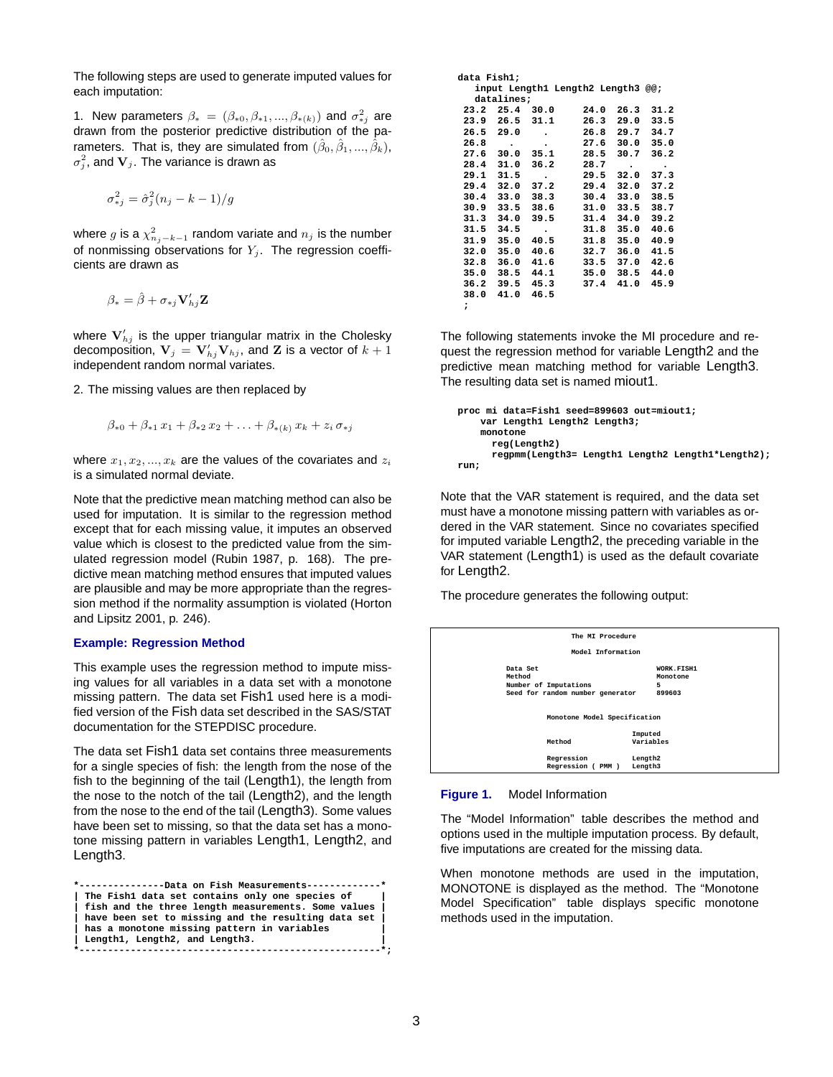The following steps are used to generate imputed values for each imputation:

1. New parameters  $\beta_* = (\beta_{*0}, \beta_{*1}, ..., \beta_{*(k)})$  and  $\sigma_{*j}^2$  are drawn from the posterior predictive distribution of the parameters. That is, they are simulated from  $(\hat{\beta}_0, \hat{\beta}_1, ..., \hat{\beta}_k)$ ,  $\sigma_j^2$ , and  $\mathbf{V}_j$ . The variance is drawn as

$$
\sigma_{*j}^2 = \hat{\sigma}_j^2 (n_j - k - 1)/g
$$

where  $g$  is a  $\chi^2_{n_j-k-1}$  random variate and  $n_j$  is the number of nonmissing observations for  $Y_i$ . The regression coefficients are drawn as

$$
\beta_* = \hat{\beta} + \sigma_{*j} \mathbf{V}_{hj}' \mathbf{Z}
$$

where  $\mathbf{V}_{hj}'$  is the upper triangular matrix in the Cholesky decomposition,  $\mathbf{V}_j \, = \, \mathbf{V}_{hj}' \mathbf{V}_{hj},$  and  $\mathbf{Z}$  is a vector of  $k+1$ independent random normal variates.

2. The missing values are then replaced by

$$
\beta_{*0} + \beta_{*1} x_1 + \beta_{*2} x_2 + \ldots + \beta_{*(k)} x_k + z_i \sigma_{*j}
$$

where  $x_1, x_2, ..., x_k$  are the values of the covariates and  $z_i$ is a simulated normal deviate.

Note that the predictive mean matching method can also be used for imputation. It is similar to the regression method except that for each missing value, it imputes an observed value which is closest to the predicted value from the simulated regression model (Rubin 1987, p. 168). The predictive mean matching method ensures that imputed values are plausible and may be more appropriate than the regression method if the normality assumption is violated (Horton and Lipsitz 2001, p. 246).

#### **Example: Regression Method**

This example uses the regression method to impute missing values for all variables in a data set with a monotone missing pattern. The data set Fish1 used here is a modified version of the Fish data set described in the SAS/STAT documentation for the STEPDISC procedure.

The data set Fish1 data set contains three measurements for a single species of fish: the length from the nose of the fish to the beginning of the tail (Length1), the length from the nose to the notch of the tail (Length2), and the length from the nose to the end of the tail (Length3). Some values have been set to missing, so that the data set has a monotone missing pattern in variables Length1, Length2, and Length3.

| *---------------Data on Fish Measurements-------------* |  |
|---------------------------------------------------------|--|
| The Fishl data set contains only one species of         |  |
| fish and the three length measurements. Some values     |  |
| have been set to missing and the resulting data set     |  |
| has a monotone missing pattern in variables             |  |
| Length1, Length2, and Length3.                          |  |
|                                                         |  |

| data Fish1:          |                  |                   |                                   |         |           |
|----------------------|------------------|-------------------|-----------------------------------|---------|-----------|
|                      |                  |                   | input Length1 Length2 Length3 @@; |         |           |
|                      | datalines;       |                   |                                   |         |           |
|                      |                  |                   | 23.2 25.4 30.0 24.0               | 26.3    | 31.2      |
|                      |                  | 23.9 26.5 31.1    | 26.3                              | 29.0    | 33.5      |
|                      | $26.5$ 29.0      |                   | 26.8                              | 29.7    | 34.7      |
| 26.8                 | $\sim$ 100 $\pm$ | $\cdot$ $\cdot$   | 27.6                              | 30.0    | 35.0      |
|                      |                  | 27.6 30.0 35.1    | 28.5                              | 30.7    | 36.2      |
|                      | 28.4 31.0        | 36.2              | 28.7                              | $\cdot$ | $\bullet$ |
|                      | 29.1 31.5        | $\sim$ 100 $\sim$ | 29.5                              | 32.0    | 37.3      |
|                      | 29.4 32.0        | 37.2              | 29.4                              | 32.0    | 37.2      |
|                      | $30.4$ $33.0$    | 38.3              | 30.4                              | 33.0    | 38.5      |
| 30.9                 |                  | $33.5$ $38.6$     | 31.0                              | 33.5    | 38.7      |
|                      | $31.3$ $34.0$    | 39.5              | 31.4                              | 34.0    | 39.2      |
| 31.5                 | 34.5             | $\sim$ 100 $\sim$ | 31.8                              | 35.0    | 40.6      |
| 31.9                 | 35.0             | 40.5              | 31.8                              | 35.0    | 40.9      |
| 32.0                 | 35.0             | 40.6              | 32.7                              | 36.0    | 41.5      |
| 32.8                 | 36.0             | 41.6              | 33.5                              | 37.0    | 42.6      |
| 35.0                 |                  | $38.5$ 44.1       | 35.0                              | 38.5    | 44.0      |
| 36.2                 |                  | $39.5$ 45.3       | 37.4                              | 41.0    | 45.9      |
| 38.0                 | 41.0             | 46.5              |                                   |         |           |
| $\ddot{\phantom{0}}$ |                  |                   |                                   |         |           |

The following statements invoke the MI procedure and request the regression method for variable Length2 and the predictive mean matching method for variable Length3. The resulting data set is named miout1.

```
proc mi data=Fish1 seed=899603 out=miout1;
    var Length1 Length2 Length3;
    monotone
      reg(Length2)
      regpmm(Length3= Length1 Length2 Length1*Length2);
run;
```
Note that the VAR statement is required, and the data set must have a monotone missing pattern with variables as ordered in the VAR statement. Since no covariates specified for imputed variable Length2, the preceding variable in the VAR statement (Length1) is used as the default covariate for Lenath2.

The procedure generates the following output:



#### **Figure 1.** Model Information

The "Model Information" table describes the method and options used in the multiple imputation process. By default, five imputations are created for the missing data.

When monotone methods are used in the imputation, MONOTONE is displayed as the method. The "Monotone Model Specification" table displays specific monotone methods used in the imputation.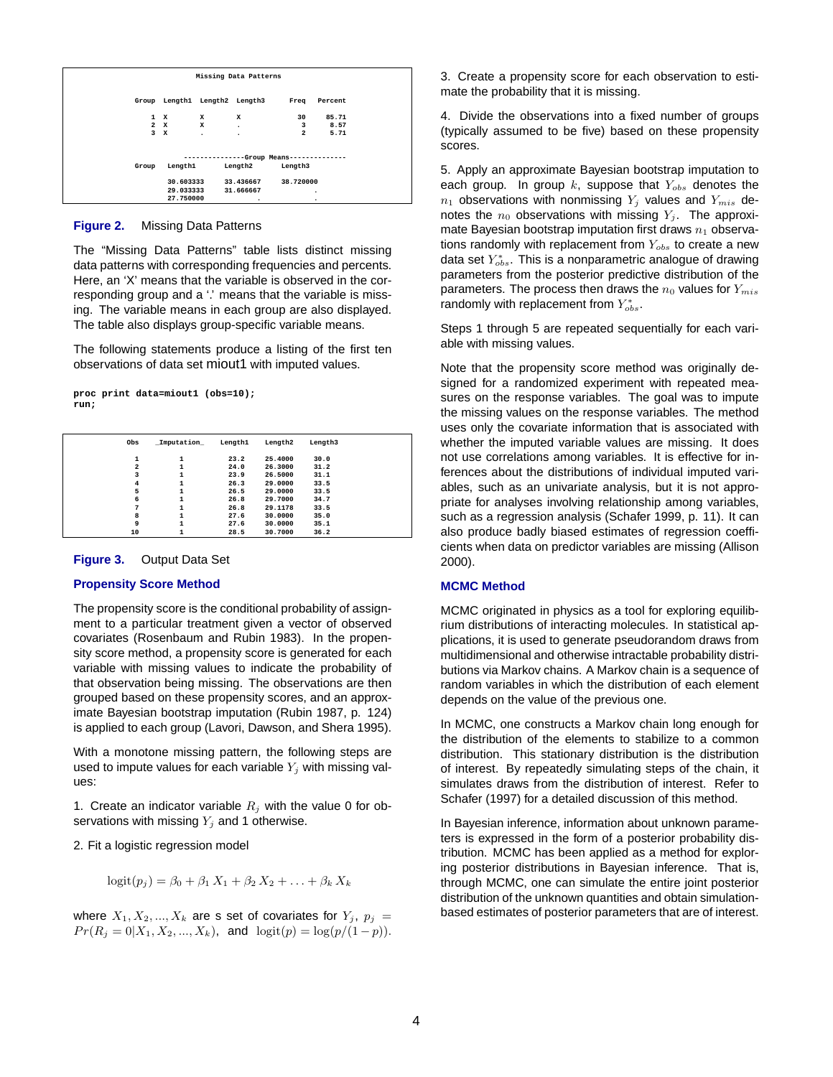|       |            |                      | Missing Data Patterns         |                               |              |
|-------|------------|----------------------|-------------------------------|-------------------------------|--------------|
|       |            |                      | Group Length1 Length2 Length3 |                               | Freq Percent |
|       | 1 X        | $\mathbf{x}$         | x                             | 30                            | 85.71        |
|       | $2 \times$ | $\mathbf{x}$         | $\bullet$                     | 3                             | 8.57         |
|       | 3 X        | $\ddot{\phantom{a}}$ | ٠                             | $\overline{\mathbf{2}}$       | 5.71         |
|       |            |                      |                               | ---------Group Means--------- |              |
| Group | Length1    |                      | Length2                       | Length3                       |              |
|       | 30.603333  |                      | 33.436667                     | 38.720000                     |              |
|       | 29.033333  |                      | 31.666667                     |                               | ٠            |
|       | 27.750000  |                      | ۰                             |                               | ٠            |

**Figure 2.** Missing Data Patterns

The "Missing Data Patterns" table lists distinct missing data patterns with corresponding frequencies and percents. Here, an 'X' means that the variable is observed in the corresponding group and a '.' means that the variable is missing. The variable means in each group are also displayed. The table also displays group-specific variable means.

The following statements produce a listing of the first ten observations of data set miout1 with imputed values.

```
proc print data=miout1 (obs=10);
run;
```

| Obs            | Imputation | Length1 | Length2 | Length3 |
|----------------|------------|---------|---------|---------|
|                |            | 23.2    | 25,4000 | 30.0    |
| $\overline{2}$ | 1          | 24.0    | 26,3000 | 31.2    |
| 3              |            | 23.9    | 26,5000 | 31.1    |
| 4              |            | 26.3    | 29,0000 | 33.5    |
| 5              |            | 26.5    | 29,0000 | 33.5    |
| 6              |            | 26.8    | 29,7000 | 34.7    |
| 7              |            | 26.8    | 29.1178 | 33.5    |
| 8              |            | 27.6    | 30,0000 | 35.0    |
| 9              |            | 27.6    | 30,0000 | 35.1    |
| 10             |            | 28.5    | 30,7000 | 36.2    |

# **Figure 3.** Output Data Set

#### **Propensity Score Method**

The propensity score is the conditional probability of assignment to a particular treatment given a vector of observed covariates (Rosenbaum and Rubin 1983). In the propensity score method, a propensity score is generated for each variable with missing values to indicate the probability of that observation being missing. The observations are then grouped based on these propensity scores, and an approximate Bayesian bootstrap imputation (Rubin 1987, p. 124) is applied to each group (Lavori, Dawson, and Shera 1995).

With a monotone missing pattern, the following steps are used to impute values for each variable  $Y_i$  with missing values:

1. Create an indicator variable  $R_j$  with the value 0 for observations with missing  $Y_i$  and 1 otherwise.

2. Fit a logistic regression model

$$
logit(p_j) = \beta_0 + \beta_1 X_1 + \beta_2 X_2 + \ldots + \beta_k X_k
$$

where  $X_1, X_2, ..., X_k$  are s set of covariates for  $Y_j$ ,  $p_j =$  $Pr(R_i = 0|X_1, X_2, ..., X_k)$ , and  $logit(p) = log(p/(1-p))$ . 3. Create a propensity score for each observation to estimate the probability that it is missing.

4. Divide the observations into a fixed number of groups (typically assumed to be five) based on these propensity scores.

5. Apply an approximate Bayesian bootstrap imputation to each group. In group  $k$ , suppose that  $Y_{obs}$  denotes the  $n_1$  observations with nonmissing  $Y_i$  values and  $Y_{mis}$  denotes the  $n_0$  observations with missing  $Y_i$ . The approximate Bayesian bootstrap imputation first draws  $n_1$  observations randomly with replacement from  $Y_{obs}$  to create a new data set  $Y_{obs}^*$ . This is a nonparametric analogue of drawing parameters from the posterior predictive distribution of the parameters. The process then draws the  $n_0$  values for  $Y_{mis}$ randomly with replacement from  $Y_{obs}^*$ .

Steps 1 through 5 are repeated sequentially for each variable with missing values.

Note that the propensity score method was originally designed for a randomized experiment with repeated measures on the response variables. The goal was to impute the missing values on the response variables. The method uses only the covariate information that is associated with whether the imputed variable values are missing. It does not use correlations among variables. It is effective for inferences about the distributions of individual imputed variables, such as an univariate analysis, but it is not appropriate for analyses involving relationship among variables, such as a regression analysis (Schafer 1999, p. 11). It can also produce badly biased estimates of regression coefficients when data on predictor variables are missing (Allison 2000).

#### **MCMC Method**

MCMC originated in physics as a tool for exploring equilibrium distributions of interacting molecules. In statistical applications, it is used to generate pseudorandom draws from multidimensional and otherwise intractable probability distributions via Markov chains. A Markov chain is a sequence of random variables in which the distribution of each element depends on the value of the previous one.

In MCMC, one constructs a Markov chain long enough for the distribution of the elements to stabilize to a common distribution. This stationary distribution is the distribution of interest. By repeatedly simulating steps of the chain, it simulates draws from the distribution of interest. Refer to Schafer (1997) for a detailed discussion of this method.

In Bayesian inference, information about unknown parameters is expressed in the form of a posterior probability distribution. MCMC has been applied as a method for exploring posterior distributions in Bayesian inference. That is, through MCMC, one can simulate the entire joint posterior distribution of the unknown quantities and obtain simulationbased estimates of posterior parameters that are of interest.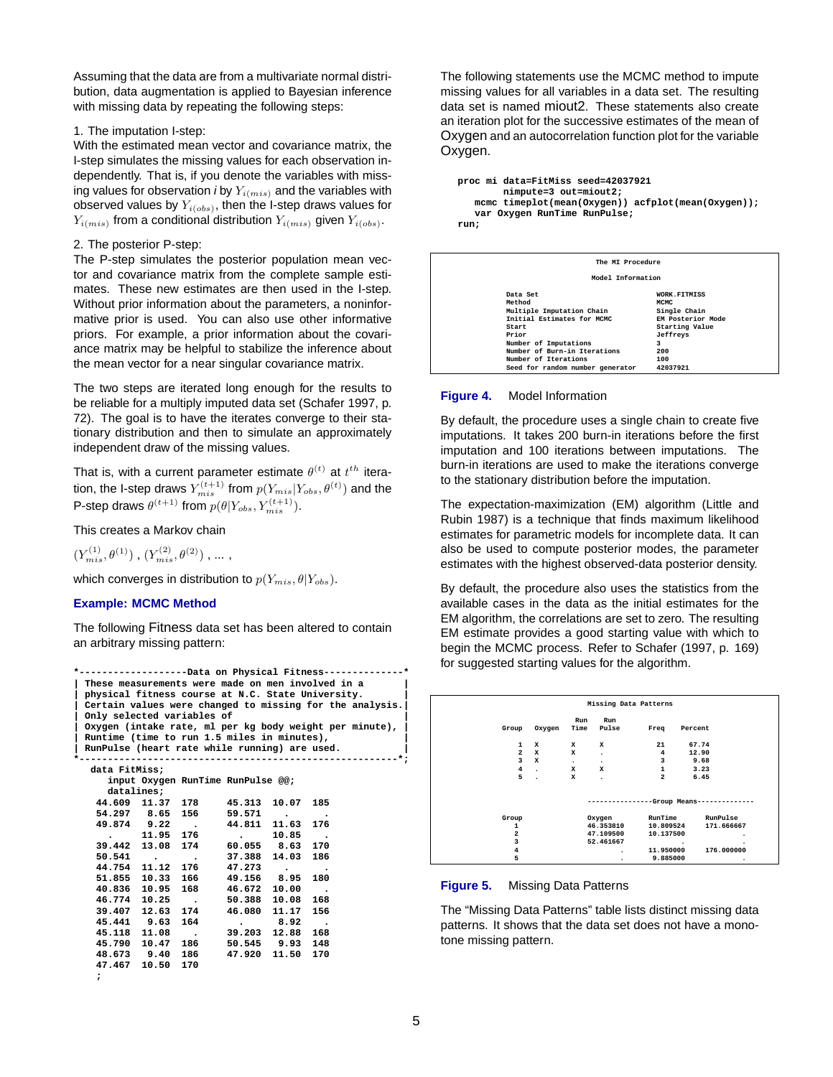Assuming that the data are from a multivariate normal distribution, data augmentation is applied to Bayesian inference with missing data by repeating the following steps:

#### 1. The imputation I-step:

With the estimated mean vector and covariance matrix, the I-step simulates the missing values for each observation independently. That is, if you denote the variables with missing values for observation i by  $Y_{i(mis)}$  and the variables with observed values by  $Y_{i(obs)}$ , then the I-step draws values for  $Y_{i(mis)}$  from a conditional distribution  $Y_{i(mis)}$  given  $Y_{i(obs)}$ .

#### 2. The posterior P-step:

The P-step simulates the posterior population mean vector and covariance matrix from the complete sample estimates. These new estimates are then used in the I-step. Without prior information about the parameters, a noninformative prior is used. You can also use other informative priors. For example, a prior information about the covariance matrix may be helpful to stabilize the inference about the mean vector for a near singular covariance matrix.

The two steps are iterated long enough for the results to be reliable for a multiply imputed data set (Schafer 1997, p. 72). The goal is to have the iterates converge to their stationary distribution and then to simulate an approximately independent draw of the missing values.

That is, with a current parameter estimate  $\theta^{(t)}$  at  $t^{th}$  iteration, the I-step draws  $Y_{mis}^{(t+1)}$  from  $p(Y_{mis}|Y_{obs},\theta^{(t)})$  and the P-step draws  $\theta^{(t+1)}$  from  $p(\theta|Y_{obs}, Y_{mis}^{(t+1)}).$ 

This creates a Markov chain

 $(Y_{mis}^{(1)}, \theta^{(1)})$  ,  $(Y_{mis}^{(2)}, \theta^{(2)})$  , ... ,

which converges in distribution to  $p(Y_{mis}, \theta | Y_{obs})$ .

# **Example: MCMC Method**

**;**

The following Fitness data set has been altered to contain an arbitrary missing pattern:

```
*-------------------Data on Physical Fitness--------------*
 | These measurements were made on men involved in a |
 | physical fitness course at N.C. State University. |
 | Certain values were changed to missing for the analysis.|
 | Only selected variables of |
 | Oxygen (intake rate, ml per kg body weight per minute), |
 | Runtime (time to run 1.5 miles in minutes), |
 | RunPulse (heart rate while running) are used. |
*--------------------------------------------------------*;
  data FitMiss;
      input Oxygen RunTime RunPulse @@;
      datalines;
    44.609 11.37 178 45.313 10.07 185
             54.297 8.65 156 59.571 . .
   49.874 9.22 . 44.811 11.63 176
            . 11.95 176 . 10.85 .
    39.442 13.08 174 60.055 8.63 170
    50.541 . . 37.388 14.03 186
            44.754 11.12 176 47.273 . .
    51.855 10.33 166 49.156 8.95 180
                             40.836 10.95 168 46.672 10.00 .
    46.774 10.25 . 50.388 10.08<br>39.407 12.63 174 46.080 11.17
    39.407 12.63 174 46.080 11.17 156
    45.441 9.63 164 . 8.92 .
                   45.118 159.203 12.88 168<br>186 50.545 9.93 148
    45.790 10.47 186 50.545 9.93 148
                             48.673 9.40 186 47.920 11.50 170
    47.467 10.50 170
```
The following statements use the MCMC method to impute missing values for all variables in a data set. The resulting data set is named miout2. These statements also create an iteration plot for the successive estimates of the mean of Oxygen and an autocorrelation function plot for the variable Oxygen.

```
proc mi data=FitMiss seed=42037921
       nimpute=3 out=miout2;
  mcmc timeplot(mean(Oxygen)) acfplot(mean(Oxygen));
  var Oxygen RunTime RunPulse;
run;
```

| The MI Procedure                 |                   |
|----------------------------------|-------------------|
| Model Information                |                   |
| Data Set                         | WORK FITMISS      |
| Method                           | <b>MCMC</b>       |
| Multiple Imputation Chain        | Single Chain      |
| Initial Estimates for MCMC       | EM Posterior Mode |
| Start.                           | Starting Value    |
| Prior                            | Jeffreys          |
| Number of Imputations            | 3                 |
| Number of Burn-in Iterations     | 200               |
| Number of Iterations             | 100               |
| Seed for random number generator | 42037921          |

# **Figure 4.** Model Information

By default, the procedure uses a single chain to create five imputations. It takes 200 burn-in iterations before the first imputation and 100 iterations between imputations. The burn-in iterations are used to make the iterations converge to the stationary distribution before the imputation.

The expectation-maximization (EM) algorithm (Little and Rubin 1987) is a technique that finds maximum likelihood estimates for parametric models for incomplete data. It can also be used to compute posterior modes, the parameter estimates with the highest observed-data posterior density.

By default, the procedure also uses the statistics from the available cases in the data as the initial estimates for the EM algorithm, the correlations are set to zero. The resulting EM estimate provides a good starting value with which to begin the MCMC process. Refer to Schafer (1997, p. 169) for suggested starting values for the algorithm.

|                         | Missing Data Patterns          |      |           |                         |                    |   |  |  |
|-------------------------|--------------------------------|------|-----------|-------------------------|--------------------|---|--|--|
|                         |                                | Run  | Run       |                         |                    |   |  |  |
| Group                   | Oxygen                         | Time | Pulse     | Freq                    | Percent            |   |  |  |
| 1                       | x                              | x    | x         | 21                      | 67.74              |   |  |  |
|                         | $\overline{a}$<br>$\mathbf{x}$ | x    | ٠         | 4                       | 12.90              |   |  |  |
|                         | 3<br>$\mathbf x$               |      | ٠         | 3                       | 9.68               |   |  |  |
|                         | 4<br>٠                         | x    | x         | 1                       | 3.23               |   |  |  |
|                         | 5<br>¥                         | x    | ٠         | $\overline{\mathbf{2}}$ | 6.45               |   |  |  |
|                         |                                |      |           |                         | -Group Means------ |   |  |  |
| Group                   |                                |      | Oxygen    | RunTime                 | RunPulse           |   |  |  |
| 1                       |                                |      | 46.353810 | 10.809524               | 171,666667         |   |  |  |
| $\overline{\mathbf{2}}$ |                                |      | 47.109500 | 10.137500               |                    |   |  |  |
| 3                       |                                |      | 52.461667 |                         |                    |   |  |  |
| 4                       |                                |      |           | 11,950000               | 176,000000         |   |  |  |
| 5                       |                                |      |           | 9.885000                |                    | ٠ |  |  |

#### **Figure 5.** Missing Data Patterns

The "Missing Data Patterns" table lists distinct missing data patterns. It shows that the data set does not have a monotone missing pattern.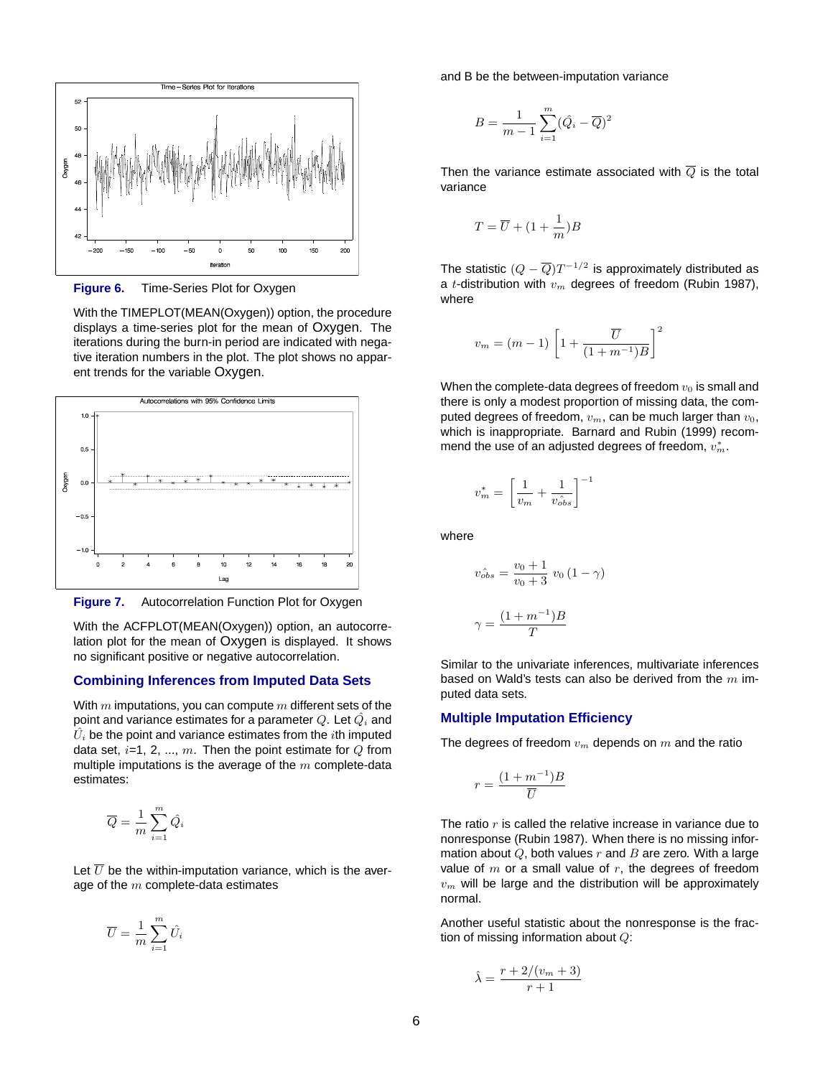

**Figure 6.** Time-Series Plot for Oxygen

With the TIMEPLOT(MEAN(Oxygen)) option, the procedure displays a time-series plot for the mean of Oxygen. The iterations during the burn-in period are indicated with negative iteration numbers in the plot. The plot shows no apparent trends for the variable Oxygen.



**Figure 7.** Autocorrelation Function Plot for Oxygen

With the ACFPLOT(MEAN(Oxygen)) option, an autocorrelation plot for the mean of Oxygen is displayed. It shows no significant positive or negative autocorrelation.

#### **Combining Inferences from Imputed Data Sets**

With  $m$  imputations, you can compute  $m$  different sets of the point and variance estimates for a parameter Q. Let  $\hat{Q}_i$  and  $\hat{U}_i$  be the point and variance estimates from the *i*th imputed data set,  $i=1, 2, ..., m$ . Then the point estimate for Q from multiple imputations is the average of the  $m$  complete-data estimates:

$$
\overline{Q} = \frac{1}{m} \sum_{i=1}^{m} \hat{Q}_i
$$

Let  $\overline{U}$  be the within-imputation variance, which is the average of the  $m$  complete-data estimates

$$
\overline{U} = \frac{1}{m} \sum_{i=1}^{m} \hat{U}_i
$$

and B be the between-imputation variance

$$
B = \frac{1}{m-1} \sum_{i=1}^{m} (\hat{Q}_i - \overline{Q})^2
$$

Then the variance estimate associated with  $\overline{Q}$  is the total variance

$$
T = \overline{U} + (1 + \frac{1}{m})B
$$

The statistic  $(Q - \overline{Q}) T^{-1/2}$  is approximately distributed as a t-distribution with  $v_m$  degrees of freedom (Rubin 1987), where

$$
v_m = (m-1)\left[1 + \frac{\overline{U}}{(1+m^{-1})B}\right]^2
$$

When the complete-data degrees of freedom  $v_0$  is small and there is only a modest proportion of missing data, the computed degrees of freedom,  $v_m$ , can be much larger than  $v_0$ , which is inappropriate. Barnard and Rubin (1999) recommend the use of an adjusted degrees of freedom,  $v_m^*$ .

$$
v_m^* = \left[\frac{1}{v_m} + \frac{1}{v_{obs}^2}\right]^{-1}
$$

where

$$
v_{obs}^{*} = \frac{v_0 + 1}{v_0 + 3} v_0 (1 - \gamma)
$$

$$
\gamma = \frac{(1 + m^{-1})B}{T}
$$

Similar to the univariate inferences, multivariate inferences based on Wald's tests can also be derived from the  $m$  imputed data sets.

# **Multiple Imputation Efficiency**

The degrees of freedom  $v_m$  depends on m and the ratio

$$
r = \frac{(1 + m^{-1})B}{\overline{U}}
$$

The ratio  $r$  is called the relative increase in variance due to nonresponse (Rubin 1987). When there is no missing information about  $Q$ , both values  $r$  and  $B$  are zero. With a large value of  $m$  or a small value of  $r$ , the degrees of freedom  $v_m$  will be large and the distribution will be approximately normal.

Another useful statistic about the nonresponse is the fraction of missing information about  $Q$ :

$$
\hat{\lambda} = \frac{r + 2/(v_m + 3)}{r + 1}
$$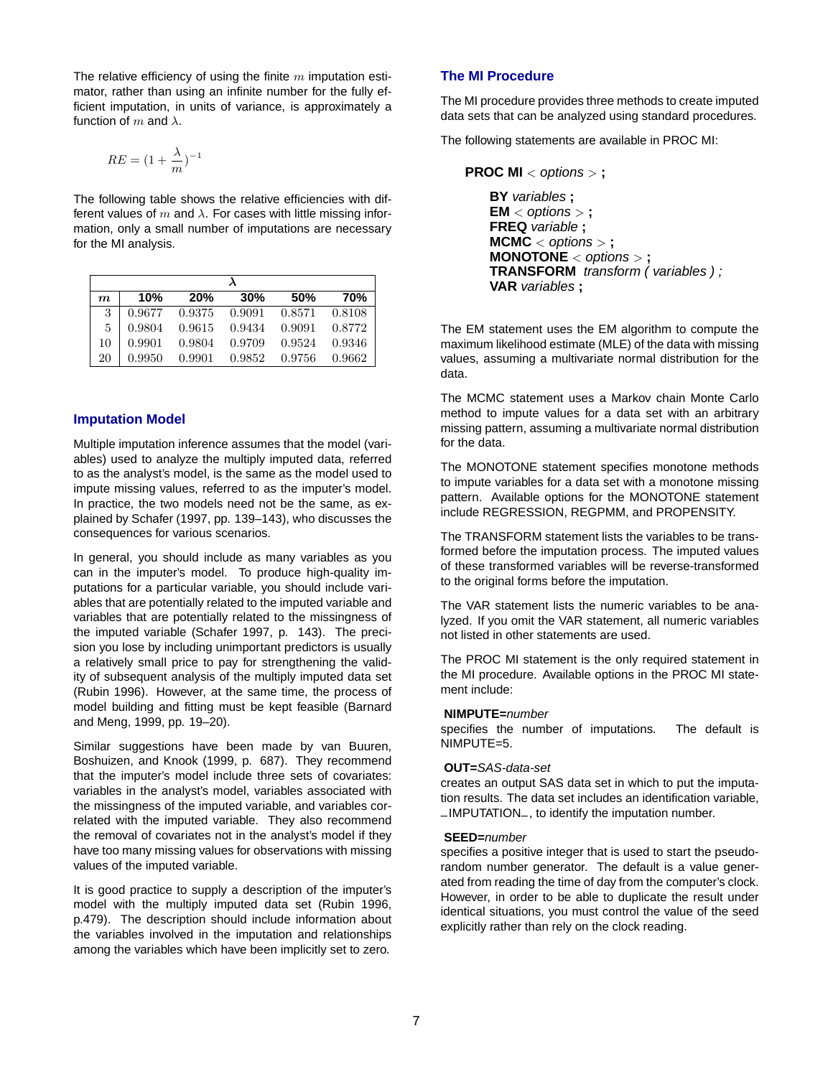The relative efficiency of using the finite  $m$  imputation estimator, rather than using an infinite number for the fully efficient imputation, in units of variance, is approximately a function of  $m$  and  $\lambda$ .

$$
RE=(1+\frac{\lambda}{m})^{-1}
$$

The following table shows the relative efficiencies with different values of m and  $\lambda$ . For cases with little missing information, only a small number of imputations are necessary for the MI analysis.

| $\boldsymbol{m}$ | 10%    | 20%    | 30%    | 50%    | 70%    |
|------------------|--------|--------|--------|--------|--------|
| 3                | 0.9677 | 0.9375 | 0.9091 | 0.8571 | 0.8108 |
| 5                | 0.9804 | 0.9615 | 0.9434 | 0.9091 | 0.8772 |
| 10               | 0.9901 | 0.9804 | 0.9709 | 0.9524 | 0.9346 |
| 20               | 0.9950 | 0.9901 | 0.9852 | 0.9756 | 0.9662 |

# **Imputation Model**

Multiple imputation inference assumes that the model (variables) used to analyze the multiply imputed data, referred to as the analyst's model, is the same as the model used to impute missing values, referred to as the imputer's model. In practice, the two models need not be the same, as explained by Schafer (1997, pp. 139–143), who discusses the consequences for various scenarios.

In general, you should include as many variables as you can in the imputer's model. To produce high-quality imputations for a particular variable, you should include variables that are potentially related to the imputed variable and variables that are potentially related to the missingness of the imputed variable (Schafer 1997, p. 143). The precision you lose by including unimportant predictors is usually a relatively small price to pay for strengthening the validity of subsequent analysis of the multiply imputed data set (Rubin 1996). However, at the same time, the process of model building and fitting must be kept feasible (Barnard and Meng, 1999, pp. 19–20).

Similar suggestions have been made by van Buuren, Boshuizen, and Knook (1999, p. 687). They recommend that the imputer's model include three sets of covariates: variables in the analyst's model, variables associated with the missingness of the imputed variable, and variables correlated with the imputed variable. They also recommend the removal of covariates not in the analyst's model if they have too many missing values for observations with missing values of the imputed variable.

It is good practice to supply a description of the imputer's model with the multiply imputed data set (Rubin 1996, p.479). The description should include information about the variables involved in the imputation and relationships among the variables which have been implicitly set to zero.

# **The MI Procedure**

The MI procedure provides three methods to create imputed data sets that can be analyzed using standard procedures.

The following statements are available in PROC MI:

```
PROC MI < options > ;
   BY variables ;
   EM < options > ;
   FREQ variable ;
   MCMC < options > ;
   MONOTONE < options > ;
   TRANSFORM transform ( variables ) ;
   VAR variables ;
```
The EM statement uses the EM algorithm to compute the maximum likelihood estimate (MLE) of the data with missing values, assuming a multivariate normal distribution for the data.

The MCMC statement uses a Markov chain Monte Carlo method to impute values for a data set with an arbitrary missing pattern, assuming a multivariate normal distribution for the data.

The MONOTONE statement specifies monotone methods to impute variables for a data set with a monotone missing pattern. Available options for the MONOTONE statement include REGRESSION, REGPMM, and PROPENSITY.

The TRANSFORM statement lists the variables to be transformed before the imputation process. The imputed values of these transformed variables will be reverse-transformed to the original forms before the imputation.

The VAR statement lists the numeric variables to be analyzed. If you omit the VAR statement, all numeric variables not listed in other statements are used.

The PROC MI statement is the only required statement in the MI procedure. Available options in the PROC MI statement include:

#### **NIMPUTE=**number

specifies the number of imputations. The default is NIMPUTE=5.

#### **OUT=**SAS-data-set

creates an output SAS data set in which to put the imputation results. The data set includes an identification variable, –IMPUTATION–, to identify the imputation number.

#### **SEED=**number

specifies a positive integer that is used to start the pseudorandom number generator. The default is a value generated from reading the time of day from the computer's clock. However, in order to be able to duplicate the result under identical situations, you must control the value of the seed explicitly rather than rely on the clock reading.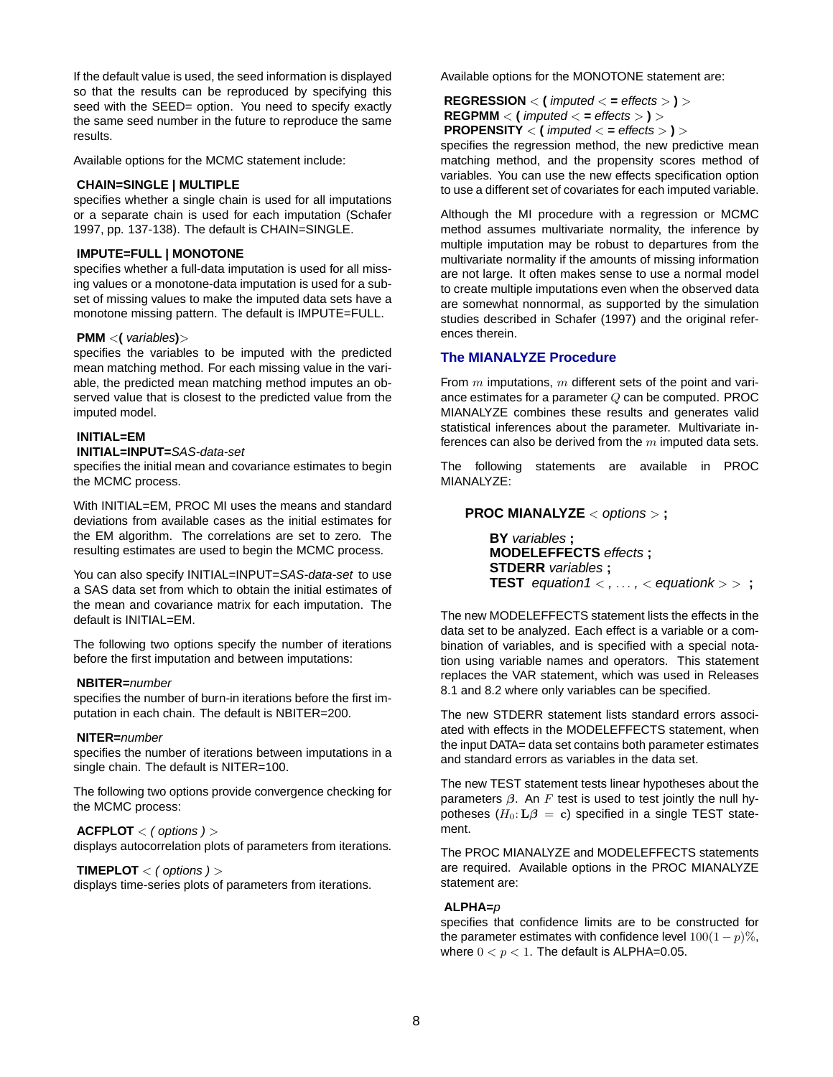If the default value is used, the seed information is displayed so that the results can be reproduced by specifying this seed with the SEED= option. You need to specify exactly the same seed number in the future to reproduce the same results.

Available options for the MCMC statement include:

#### **CHAIN=SINGLE | MULTIPLE**

specifies whether a single chain is used for all imputations or a separate chain is used for each imputation (Schafer 1997, pp. 137-138). The default is CHAIN=SINGLE.

# **IMPUTE=FULL | MONOTONE**

specifies whether a full-data imputation is used for all missing values or a monotone-data imputation is used for a subset of missing values to make the imputed data sets have a monotone missing pattern. The default is IMPUTE=FULL.

#### **PMM** <**(** variables**)**>

specifies the variables to be imputed with the predicted mean matching method. For each missing value in the variable, the predicted mean matching method imputes an observed value that is closest to the predicted value from the imputed model.

# **INITIAL=EM**

## **INITIAL=INPUT=**SAS-data-set

specifies the initial mean and covariance estimates to begin the MCMC process.

With INITIAL=EM, PROC MI uses the means and standard deviations from available cases as the initial estimates for the EM algorithm. The correlations are set to zero. The resulting estimates are used to begin the MCMC process.

You can also specify INITIAL=INPUT=SAS-data-set to use a SAS data set from which to obtain the initial estimates of the mean and covariance matrix for each imputation. The default is INITIAL=EM.

The following two options specify the number of iterations before the first imputation and between imputations:

#### **NBITER=**number

specifies the number of burn-in iterations before the first imputation in each chain. The default is NBITER=200.

#### **NITER=**number

specifies the number of iterations between imputations in a single chain. The default is NITER=100.

The following two options provide convergence checking for the MCMC process:

# **ACFPLOT** < ( options ) >

displays autocorrelation plots of parameters from iterations.

# **TIMEPLOT**  $\lt$  ( options )  $>$

displays time-series plots of parameters from iterations.

Available options for the MONOTONE statement are:

 $REGRESSON < (imputed < = effects >) >$ **REGPMM** < **(** imputed < **=** effects > **)** > **PROPENSITY** < **(** imputed < **=** effects > **)** >

specifies the regression method, the new predictive mean matching method, and the propensity scores method of variables. You can use the new effects specification option to use a different set of covariates for each imputed variable.

Although the MI procedure with a regression or MCMC method assumes multivariate normality, the inference by multiple imputation may be robust to departures from the multivariate normality if the amounts of missing information are not large. It often makes sense to use a normal model to create multiple imputations even when the observed data are somewhat nonnormal, as supported by the simulation studies described in Schafer (1997) and the original references therein.

## **The MIANALYZE Procedure**

From  $m$  imputations,  $m$  different sets of the point and variance estimates for a parameter  $Q$  can be computed. PROC MIANALYZE combines these results and generates valid statistical inferences about the parameter. Multivariate inferences can also be derived from the  $m$  imputed data sets.

The following statements are available in PROC MIANALYZE:

# **PROC MIANALYZE** < options > **;**

**BY** variables **; MODELEFFECTS** effects **; STDERR** variables **; TEST** equation1 <  $, \ldots$ , < equationk > > **;** 

The new MODELEFFECTS statement lists the effects in the data set to be analyzed. Each effect is a variable or a combination of variables, and is specified with a special notation using variable names and operators. This statement replaces the VAR statement, which was used in Releases 8.1 and 8.2 where only variables can be specified.

The new STDERR statement lists standard errors associated with effects in the MODELEFFECTS statement, when the input DATA= data set contains both parameter estimates and standard errors as variables in the data set.

The new TEST statement tests linear hypotheses about the parameters  $\beta$ . An F test is used to test jointly the null hypotheses  $(H_0: \mathbf{L}\beta = \mathbf{c})$  specified in a single TEST statement.

The PROC MIANALYZE and MODELEFFECTS statements are required. Available options in the PROC MIANALYZE statement are:

#### **ALPHA=**p

specifies that confidence limits are to be constructed for the parameter estimates with confidence level  $100(1-p)\%$ , where  $0 < p < 1$ . The default is ALPHA=0.05.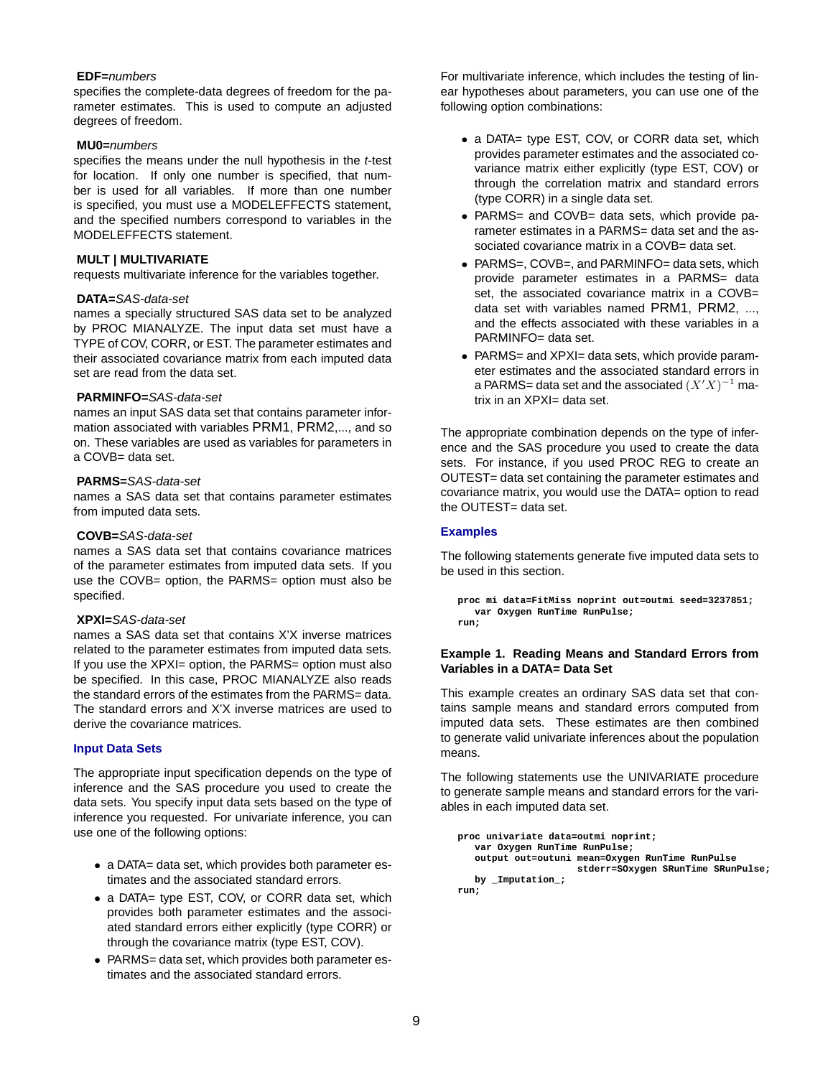### **EDF=**numbers

specifies the complete-data degrees of freedom for the parameter estimates. This is used to compute an adjusted degrees of freedom.

#### **MU0=**numbers

specifies the means under the null hypothesis in the *t*-test for location. If only one number is specified, that number is used for all variables. If more than one number is specified, you must use a MODELEFFECTS statement, and the specified numbers correspond to variables in the MODELEFFECTS statement.

## **MULT | MULTIVARIATE**

requests multivariate inference for the variables together.

# **DATA=**SAS-data-set

names a specially structured SAS data set to be analyzed by PROC MIANALYZE. The input data set must have a TYPE of COV, CORR, or EST. The parameter estimates and their associated covariance matrix from each imputed data set are read from the data set.

## **PARMINFO=**SAS-data-set

names an input SAS data set that contains parameter information associated with variables PRM1, PRM2,..., and so on. These variables are used as variables for parameters in a COVB= data set.

### **PARMS=**SAS-data-set

names a SAS data set that contains parameter estimates from imputed data sets.

#### **COVB=**SAS-data-set

names a SAS data set that contains covariance matrices of the parameter estimates from imputed data sets. If you use the COVB= option, the PARMS= option must also be specified.

#### **XPXI=**SAS-data-set

names a SAS data set that contains X'X inverse matrices related to the parameter estimates from imputed data sets. If you use the XPXI= option, the PARMS= option must also be specified. In this case, PROC MIANALYZE also reads the standard errors of the estimates from the PARMS= data. The standard errors and X'X inverse matrices are used to derive the covariance matrices.

# **Input Data Sets**

The appropriate input specification depends on the type of inference and the SAS procedure you used to create the data sets. You specify input data sets based on the type of inference you requested. For univariate inference, you can use one of the following options:

- a DATA= data set, which provides both parameter estimates and the associated standard errors.
- a DATA= type EST, COV, or CORR data set, which provides both parameter estimates and the associated standard errors either explicitly (type CORR) or through the covariance matrix (type EST, COV).
- PARMS= data set, which provides both parameter estimates and the associated standard errors.

For multivariate inference, which includes the testing of linear hypotheses about parameters, you can use one of the following option combinations:

- a DATA= type EST, COV, or CORR data set, which provides parameter estimates and the associated covariance matrix either explicitly (type EST, COV) or through the correlation matrix and standard errors (type CORR) in a single data set.
- PARMS= and COVB= data sets, which provide parameter estimates in a PARMS= data set and the associated covariance matrix in a COVB= data set.
- PARMS=, COVB=, and PARMINFO= data sets, which provide parameter estimates in a PARMS= data set, the associated covariance matrix in a COVB= data set with variables named PRM1, PRM2, ..., and the effects associated with these variables in a PARMINFO= data set.
- PARMS= and XPXI= data sets, which provide parameter estimates and the associated standard errors in a PARMS= data set and the associated  $(X^{\prime}X)^{-1}$  matrix in an XPXI= data set.

The appropriate combination depends on the type of inference and the SAS procedure you used to create the data sets. For instance, if you used PROC REG to create an OUTEST= data set containing the parameter estimates and covariance matrix, you would use the DATA= option to read the OUTEST= data set.

# **Examples**

The following statements generate five imputed data sets to be used in this section.

```
proc mi data=FitMiss noprint out=outmi seed=3237851;
  var Oxygen RunTime RunPulse;
run;
```
#### **Example 1. Reading Means and Standard Errors from Variables in a DATA= Data Set**

This example creates an ordinary SAS data set that contains sample means and standard errors computed from imputed data sets. These estimates are then combined to generate valid univariate inferences about the population means.

The following statements use the UNIVARIATE procedure to generate sample means and standard errors for the variables in each imputed data set.

| proc univariate data=outmi noprint;            |
|------------------------------------------------|
| var Oxygen RunTime RunPulse:                   |
| output out=outuni mean=Oxygen RunTime RunPulse |
| stderr=SOxygen SRunTime SRunPulse;             |
| by Imputation :                                |
| run:                                           |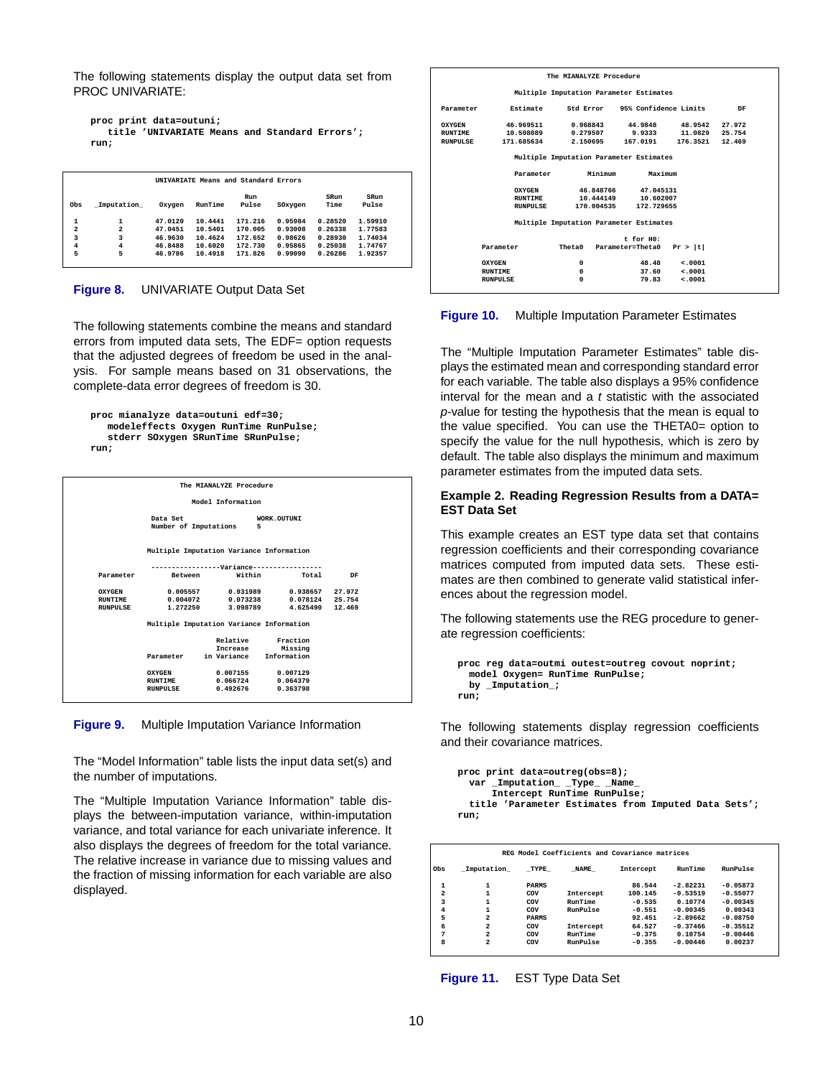The following statements display the output data set from PROC UNIVARIATE:

```
proc print data=outuni;
  title 'UNIVARIATE Means and Standard Errors';
run;
```

|                |                |         | UNIVARIATE Means and Standard Errors |         |         |         |         |  |
|----------------|----------------|---------|--------------------------------------|---------|---------|---------|---------|--|
|                |                |         |                                      | Run     |         | SRun    | SRun    |  |
| Obs            | Imputation     | Oxygen  | RunTime                              | Pulse   | SOxvgen | Time    | Pulse   |  |
| 1              | 1              | 47.0120 | 10.4441                              | 171.216 | 0.95984 | 0.28520 | 1.59910 |  |
| $\overline{2}$ | $\overline{a}$ | 47.0451 | 10.5401                              | 170.005 | 0.93008 | 0.26338 | 1.77583 |  |
| 3              | 3              | 46.9630 | 10.4624                              | 172.652 | 0.98626 | 0.28930 | 1.74034 |  |
| $\overline{4}$ | $\overline{4}$ | 46.8488 | 10.6020                              | 172.730 | 0.95865 | 0.25038 | 1.74767 |  |
| 5              | 5              | 46.9786 | 10.4918                              | 171.826 | 0.99090 | 0.26286 | 1.92357 |  |
|                |                |         |                                      |         |         |         |         |  |

#### **Figure 8.** UNIVARIATE Output Data Set

The following statements combine the means and standard errors from imputed data sets, The EDF= option requests that the adjusted degrees of freedom be used in the analysis. For sample means based on 31 observations, the complete-data error degrees of freedom is 30.

```
proc mianalyze data=outuni edf=30;
   modeleffects Oxygen RunTime RunPulse;
   stderr SOxygen SRunTime SRunPulse;
run;
```

|                |                                          | The MIANALYZE Procedure |                                           |        |  |
|----------------|------------------------------------------|-------------------------|-------------------------------------------|--------|--|
|                |                                          | Model Information       |                                           |        |  |
|                | Data Set<br>Number of Imputations        | 5                       | WORK, OUTUNI                              |        |  |
|                | Multiple Imputation Variance Information |                         |                                           |        |  |
|                |                                          |                         | ---------------Variance------------------ |        |  |
| Parameter      | <b>Between</b>                           | Within                  | Total                                     | DF     |  |
| OXYGEN         |                                          |                         | 0.005557 0.931989 0.938657 27.972         |        |  |
| <b>RUNTIME</b> | 0.004072                                 | 0.073238                | 0.078124 25.754                           |        |  |
| RUNPULSE       |                                          |                         | 1.272250 3.098789 4.625490                | 12.469 |  |
|                | Multiple Imputation Variance Information |                         |                                           |        |  |
|                |                                          | Relative                | Fraction                                  |        |  |
|                |                                          | Increase                | Missing                                   |        |  |
|                | Parameter                                | in Variance Information |                                           |        |  |
|                | OXYGEN                                   |                         | 0.007155 0.007129                         |        |  |
|                | <b>RIINTIME</b>                          | 0.066724                | 0.064379                                  |        |  |
|                | RIINPULSE                                | 0.492676                | 0.363798                                  |        |  |
|                |                                          |                         |                                           |        |  |

**Figure 9.** Multiple Imputation Variance Information

The "Model Information" table lists the input data set(s) and the number of imputations.

The "Multiple Imputation Variance Information" table displays the between-imputation variance, within-imputation variance, and total variance for each univariate inference. It also displays the degrees of freedom for the total variance. The relative increase in variance due to missing values and the fraction of missing information for each variable are also displayed.

|                |                 | The MIANALYZE Procedure                 |         |                     |                                 |        |  |
|----------------|-----------------|-----------------------------------------|---------|---------------------|---------------------------------|--------|--|
|                |                 | Multiple Imputation Parameter Estimates |         |                     |                                 |        |  |
| Parameter      | Estimate        |                                         |         |                     | Std Error 95% Confidence Limits | DF     |  |
| OXYGEN         | 46.969511       |                                         |         | 0.968843 44.9848    | 48.9542                         | 27.972 |  |
| <b>RUNTIME</b> | 10.508089       |                                         |         |                     | 0.279507 9.9333 11.0829 25.754  |        |  |
| RINPIILSE      | 171.685634      |                                         |         | 2.150695 167.0191   | 176.3521 12.469                 |        |  |
|                |                 | Multiple Imputation Parameter Estimates |         |                     |                                 |        |  |
|                | Parameter       |                                         | Minimum | Maximum             |                                 |        |  |
|                | OXYGEN          |                                         |         | 46.848766 47.045131 |                                 |        |  |
|                | <b>RUNTIME</b>  |                                         |         | 10.444149 10.602007 |                                 |        |  |
|                |                 | RUNPULSE 170.004535                     |         | 172.729655          |                                 |        |  |
|                |                 | Multiple Imputation Parameter Estimates |         |                     |                                 |        |  |
|                |                 |                                         |         | $t$ for $H0:$       |                                 |        |  |
|                | Parameter       | Theta0 Parameter=Theta0                 |         |                     | Pr >  t                         |        |  |
|                | OXYGEN          | $\mathbf 0$                             |         |                     | $48.48$ <.0001                  |        |  |
|                | <b>RUNTIME</b>  | 0                                       |         |                     | $37.60 \times 0001$             |        |  |
|                | <b>RUNPULSE</b> | 0                                       |         | 79.83               | < .0001                         |        |  |
|                |                 |                                         |         |                     |                                 |        |  |

**Figure 10.** Multiple Imputation Parameter Estimates

The "Multiple Imputation Parameter Estimates" table displays the estimated mean and corresponding standard error for each variable. The table also displays a 95% confidence interval for the mean and a  $t$  statistic with the associated p-value for testing the hypothesis that the mean is equal to the value specified. You can use the THETA0= option to specify the value for the null hypothesis, which is zero by default. The table also displays the minimum and maximum parameter estimates from the imputed data sets.

#### **Example 2. Reading Regression Results from a DATA= EST Data Set**

This example creates an EST type data set that contains regression coefficients and their corresponding covariance matrices computed from imputed data sets. These estimates are then combined to generate valid statistical inferences about the regression model.

The following statements use the REG procedure to generate regression coefficients:

```
proc reg data=outmi outest=outreg covout noprint;
  model Oxygen= RunTime RunPulse;
 by _Imputation_;
run;
```
The following statements display regression coefficients and their covariance matrices.

```
proc print data=outreg(obs=8);
  var _Imputation_ _Type_ _Name_
      Intercept RunTime RunPulse;
  title 'Parameter Estimates from Imputed Data Sets';
run;
```

| REG Model Coefficients and Covariance matrices |                |              |             |           |            |            |  |  |
|------------------------------------------------|----------------|--------------|-------------|-----------|------------|------------|--|--|
| Obs                                            | Imputation     | TYPE         | <b>NAME</b> | Intercept | RunTime    | RunPulse   |  |  |
| 1                                              | 1              | <b>PARMS</b> |             | 86.544    | $-2.82231$ | $-0.05873$ |  |  |
| $\overline{a}$                                 | 1              | COV          | Intercept   | 100.145   | $-0.53519$ | $-0.55077$ |  |  |
| 3                                              | 1              | COV          | RunTime     | $-0.535$  | 0.10774    | $-0.00345$ |  |  |
| $\overline{\bf 4}$                             | 1              | COV          | RunPulse    | $-0.551$  | $-0.00345$ | 0.00343    |  |  |
| 5                                              | $\overline{a}$ | <b>PARMS</b> |             | 92.451    | $-2.89662$ | $-0.08750$ |  |  |
| 6                                              | $\overline{a}$ | COV          | Intercept   | 64.527    | $-0.37466$ | $-0.35512$ |  |  |
| 7                                              | $\overline{a}$ | COV          | RunTime     | $-0.375$  | 0.10754    | $-0.00446$ |  |  |
| 8                                              | $\overline{a}$ | COV          | RunPulse    | $-0.355$  | $-0.00446$ | 0.00237    |  |  |

**Figure 11.** EST Type Data Set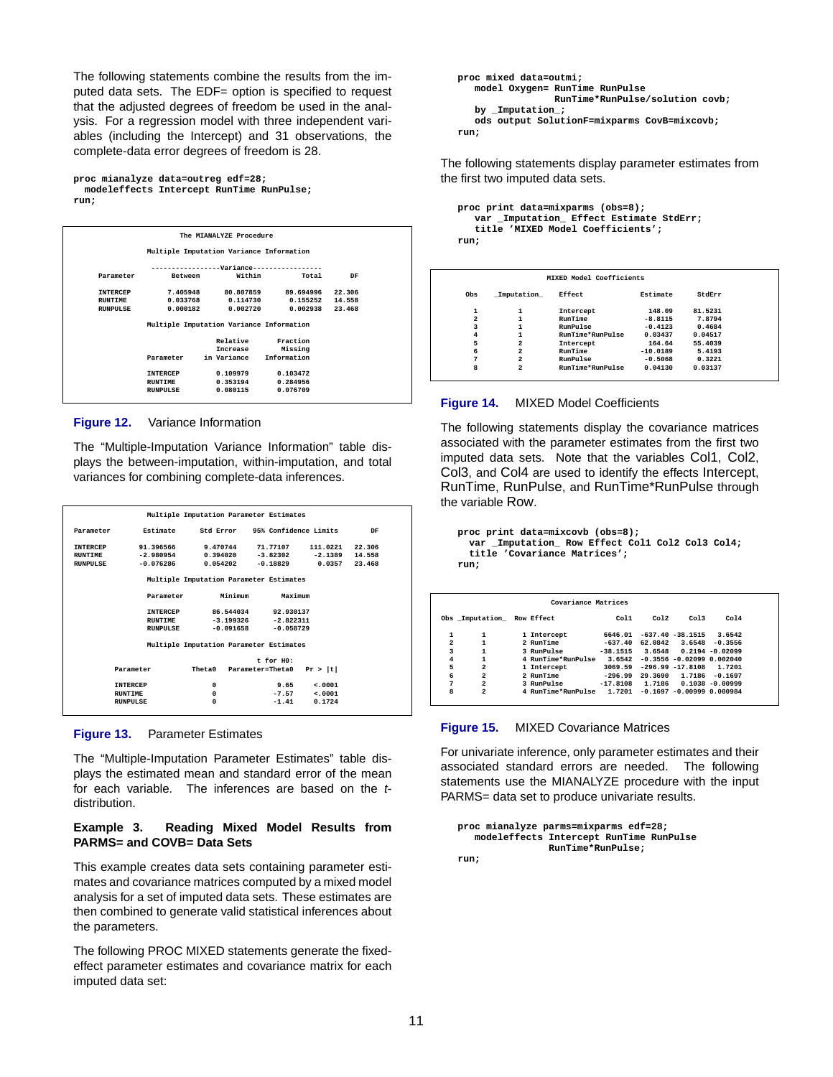The following statements combine the results from the imputed data sets. The EDF= option is specified to request that the adjusted degrees of freedom be used in the analysis. For a regression model with three independent variables (including the Intercept) and 31 observations, the complete-data error degrees of freedom is 28.

#### **proc mianalyze data=outreg edf=28; modeleffects Intercept RunTime RunPulse; run;**

| The MIANALYZE Procedure |                                            |                 |                                          |                  |    |  |  |  |  |  |  |  |
|-------------------------|--------------------------------------------|-----------------|------------------------------------------|------------------|----|--|--|--|--|--|--|--|
|                         | Multiple Imputation Variance Information   |                 |                                          |                  |    |  |  |  |  |  |  |  |
|                         | -----------------Variance----------------- |                 |                                          |                  |    |  |  |  |  |  |  |  |
|                         | Parameter                                  | <b>Between</b>  | Within                                   | Total            | DF |  |  |  |  |  |  |  |
|                         | <b>INTERCEP</b>                            | 7.405948        | 80.807859                                | 89.694996 22.306 |    |  |  |  |  |  |  |  |
|                         | <b>RUNTIME</b>                             | 0.033768        | 0.114730                                 | 0.155252 14.558  |    |  |  |  |  |  |  |  |
|                         | <b>RUNPULSE</b>                            | 0.000182        | 0.002720                                 | 0.002938 23.468  |    |  |  |  |  |  |  |  |
|                         |                                            |                 | Multiple Imputation Variance Information |                  |    |  |  |  |  |  |  |  |
|                         |                                            |                 | Relative                                 | Fraction         |    |  |  |  |  |  |  |  |
|                         |                                            |                 | <b>Increase</b>                          | Missing          |    |  |  |  |  |  |  |  |
|                         |                                            | Parameter       | in Variance                              | Information      |    |  |  |  |  |  |  |  |
|                         |                                            | <b>INTERCEP</b> | 0.109979                                 | 0.103472         |    |  |  |  |  |  |  |  |
|                         |                                            | <b>RUNTIME</b>  | 0.353194                                 | 0.284956         |    |  |  |  |  |  |  |  |
|                         |                                            | RIINPIILSE      | 0.080115                                 | 0.076709         |    |  |  |  |  |  |  |  |

#### **Figure 12.** Variance Information

The "Multiple-Imputation Variance Information" table displays the between-imputation, within-imputation, and total variances for combining complete-data inferences.

|                 |                 | Multiple Imputation Parameter Estimates |                                 |                       |        |
|-----------------|-----------------|-----------------------------------------|---------------------------------|-----------------------|--------|
| Parameter       | Estimate        | Std Error                               |                                 | 95% Confidence Limits | DF     |
| <b>INTERCEP</b> |                 | 91.396566 9.470744                      | 71.77107                        | 111.0221              | 22.306 |
| <b>RUNTIME</b>  | $-2.980954$     | 0.394020                                | $-3.82302$                      | $-2.1389$             | 14.558 |
| RINPIILSE       |                 | $-0.076286$ $0.054202$                  | $-0.18829$                      | 0.0357                | 23.468 |
|                 |                 | Multiple Imputation Parameter Estimates |                                 |                       |        |
|                 | Parameter       | Minimum                                 |                                 | Maximum               |        |
|                 | <b>INTERCEP</b> |                                         | 86.544034                       | 92.930137             |        |
|                 | <b>RIINTIME</b> |                                         | $-3.199326$                     | $-2.822311$           |        |
|                 | <b>RINPULSE</b> |                                         | $-0.091658$                     | $-0.058729$           |        |
|                 |                 | Multiple Imputation Parameter Estimates |                                 |                       |        |
|                 |                 |                                         | $t$ for $H0$ :                  |                       |        |
|                 | Parameter       |                                         | Theta0 Parameter=Theta0 Pr >  t |                       |        |
|                 | <b>INTERCEP</b> | $\Omega$                                |                                 | 9.65<br>< 0.001       |        |
|                 | <b>RUNTIME</b>  | $\mathbf 0$                             |                                 | $-7.57$ <.0001        |        |
|                 | <b>RUNPULSE</b> | 0                                       |                                 | 0.1724<br>$-1.41$     |        |



The "Multiple-Imputation Parameter Estimates" table displays the estimated mean and standard error of the mean for each variable. The inferences are based on the  $t$ distribution.

## **Example 3. Reading Mixed Model Results from PARMS= and COVB= Data Sets**

This example creates data sets containing parameter estimates and covariance matrices computed by a mixed model analysis for a set of imputed data sets. These estimates are then combined to generate valid statistical inferences about the parameters.

The following PROC MIXED statements generate the fixedeffect parameter estimates and covariance matrix for each imputed data set:

```
proc mixed data=outmi;
   model Oxygen= RunTime RunPulse
                 RunTime*RunPulse/solution covb;
   by _Imputation_;
   ods output SolutionF=mixparms CovB=mixcovb;
run;
```
The following statements display parameter estimates from the first two imputed data sets.

```
proc print data=mixparms (obs=8);
   var _Imputation_ Effect Estimate StdErr;
   title 'MIXED Model Coefficients';
run;
```

| MIXED Model Coefficients |                         |                  |            |         |  |  |  |
|--------------------------|-------------------------|------------------|------------|---------|--|--|--|
| Obs                      | Imputation              | <b>Effect</b>    | Estimate   | StdErr  |  |  |  |
| 1                        | 1                       | Intercept        | 148.09     | 81.5231 |  |  |  |
| $\overline{a}$           | 1                       | RunTime          | $-8.8115$  | 7.8794  |  |  |  |
| 3                        | 1                       | <b>RunPulse</b>  | $-0.4123$  | 0.4684  |  |  |  |
| $\overline{4}$           | 1                       | RunTime*RunPulse | 0.03437    | 0.04517 |  |  |  |
| 5                        | 2                       | Intercept        | 164.64     | 55.4039 |  |  |  |
| 6                        | $\overline{a}$          | RunTime          | $-10.0189$ | 5.4193  |  |  |  |
| 7                        | $\overline{\mathbf{2}}$ | <b>RunPulse</b>  | $-0.5068$  | 0.3221  |  |  |  |
| 8                        | $\overline{a}$          | RunTime*RunPulse | 0.04130    | 0.03137 |  |  |  |

# **Figure 14.** MIXED Model Coefficients

The following statements display the covariance matrices associated with the parameter estimates from the first two imputed data sets. Note that the variables Col1, Col2, Col3, and Col4 are used to identify the effects Intercept, RunTime, RunPulse, and RunTime\*RunPulse through the variable Row.

```
proc print data=mixcovb (obs=8);
 var _Imputation_ Row Effect Col1 Col2 Col3 Col4;
  title 'Covariance Matrices';
run;
```

| Covariance Matrices |                           |  |                           |                   |         |                                    |                    |  |  |
|---------------------|---------------------------|--|---------------------------|-------------------|---------|------------------------------------|--------------------|--|--|
|                     | Obs Imputation Row Effect |  |                           | C <sub>0</sub> 11 | Co12    | Co13                               | Co14               |  |  |
| ı                   | 1                         |  | 1 Intercept               | 6646.01           |         | $-637.40 - 38.1515$                | 3.6542             |  |  |
| $\overline{a}$      | 1                         |  | 2 RunTime                 | $-637.40$         | 62.0842 | 3.6548                             | $-0.3556$          |  |  |
| 3                   | 1                         |  | 3 RunPulse                | $-38.1515$ 3.6548 |         |                                    | $0.2194 - 0.02099$ |  |  |
| $\overline{4}$      | 1                         |  | 4 RunTime*RunPulse        |                   |         | $3.6542 -0.3556 -0.02099 0.002040$ |                    |  |  |
| 5                   | $\overline{a}$            |  | 1 Intercept               |                   |         | $3069.59 - 296.99 - 17.8108$       | 1.7201             |  |  |
| 6                   | $\overline{a}$            |  | 2 RunTime                 | $-296.99$         | 29.3690 | 1.7186                             | $-0.1697$          |  |  |
| 7                   | $\overline{a}$            |  | 3 RunPulse                | $-17.8108$        | 1.7186  |                                    | $0.1038 - 0.00999$ |  |  |
| 8                   | $\overline{a}$            |  | 4 RunTime*RunPulse 1.7201 |                   |         | $-0.1697 - 0.00999 0.000984$       |                    |  |  |

# **Figure 15.** MIXED Covariance Matrices

For univariate inference, only parameter estimates and their associated standard errors are needed. The following statements use the MIANALYZE procedure with the input PARMS= data set to produce univariate results.

```
proc mianalyze parms=mixparms edf=28;
  modeleffects Intercept RunTime RunPulse
                RunTime*RunPulse;
```
**run;**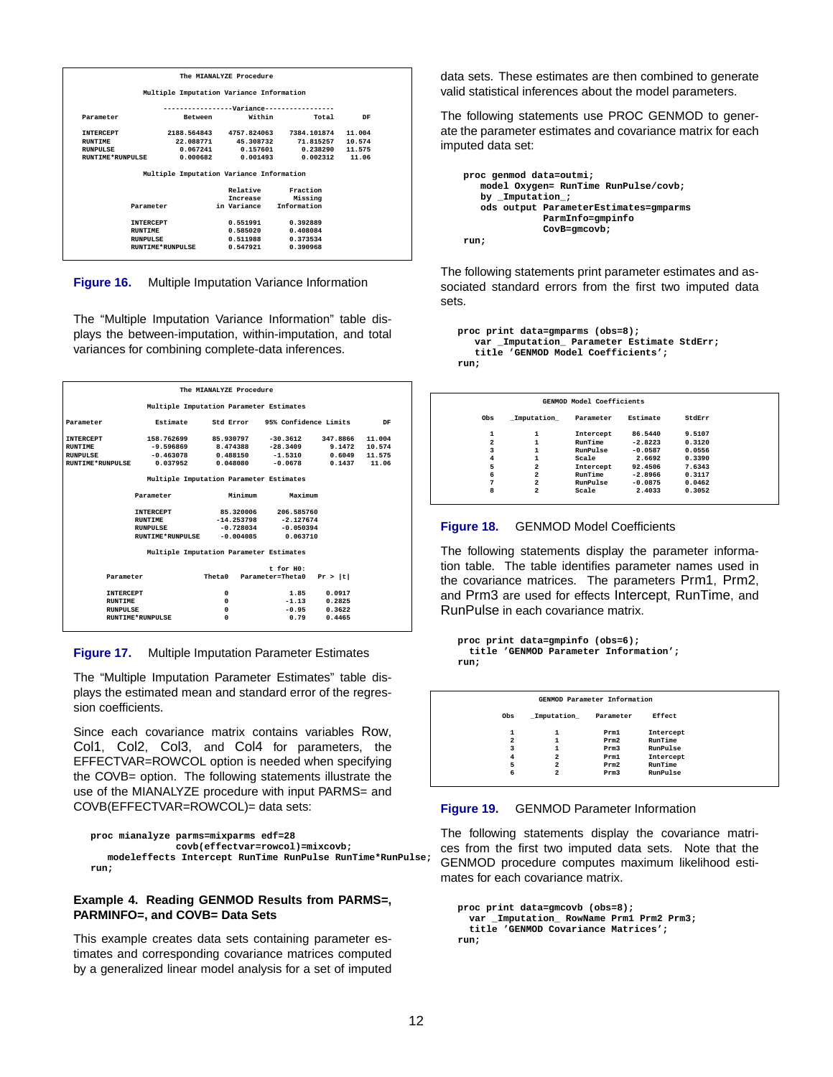|                  |                                          | The MIANALYZE Procedure |                                            |        |
|------------------|------------------------------------------|-------------------------|--------------------------------------------|--------|
|                  | Multiple Imputation Variance Information |                         |                                            |        |
|                  |                                          |                         | ----------------Variance------------------ |        |
| Parameter        | <b>Between</b>                           | Within                  | Total                                      | DF     |
| <b>INTERCEPT</b> |                                          | 2188.564843 4757.824063 | 7384.101874                                | 11.004 |
| <b>RUNTIME</b>   | 22.088771                                | 45.308732               | 71.815257 10.574                           |        |
| RINPIILSE        | 0.067241                                 | 0.157601                | 0.238290 11.575                            |        |
| RUNTIME*RUNPULSE | 0.000682                                 | 0.001493                | 0.002312                                   | 11.06  |
|                  | Multiple Imputation Variance Information |                         |                                            |        |
|                  |                                          | Relative                | Fraction                                   |        |
|                  |                                          | Increase                | Missing                                    |        |
| Parameter        |                                          | in Variance             | Information                                |        |
| <b>INTERCEPT</b> |                                          | 0.551991                | 0.392889                                   |        |
| <b>RINTIME</b>   |                                          | 0.585020                | 0.408084                                   |        |
| RINPULSE         |                                          |                         | 0.511988 0.373534                          |        |
|                  | RUNTIME*RUNPULSE                         | 0.547921                | 0.390968                                   |        |

**Figure 16.** Multiple Imputation Variance Information

The "Multiple Imputation Variance Information" table displays the between-imputation, within-imputation, and total variances for combining complete-data inferences.

| The MIANALYZE Procedure                 |                                                            |           |  |                                 |                  |        |  |  |  |  |
|-----------------------------------------|------------------------------------------------------------|-----------|--|---------------------------------|------------------|--------|--|--|--|--|
| Multiple Imputation Parameter Estimates |                                                            |           |  |                                 |                  |        |  |  |  |  |
| Parameter                               | Estimate                                                   |           |  | Std Error 95% Confidence Limits |                  | DF     |  |  |  |  |
| <b>INTERCEPT</b>                        | 158.762699                                                 | 85.930797 |  | $-30.3612$                      | 347.8866         | 11.004 |  |  |  |  |
| <b>RUNTIME</b>                          | -9.596869                                                  |           |  | 8.474388 -28.3409               | 9.1472           | 10.574 |  |  |  |  |
| RINPIILSE                               | $-0.463078$ $0.488150$ $-1.5310$ $0.6049$                  |           |  |                                 |                  | 11.575 |  |  |  |  |
|                                         | RINTIME*RINPIILSE   0.037952   0.048080   -0.0678   0.1437 |           |  |                                 |                  | 11.06  |  |  |  |  |
|                                         | Multiple Imputation Parameter Estimates                    |           |  |                                 |                  |        |  |  |  |  |
|                                         | Minimum<br>Maximum<br>Parameter                            |           |  |                                 |                  |        |  |  |  |  |
|                                         | <b>INTERCEPT</b>                                           | 85.320006 |  | 206.585760                      |                  |        |  |  |  |  |
|                                         | <b>RIINTIME</b>                                            |           |  | $-14.253798 - 2.127674$         |                  |        |  |  |  |  |
|                                         | RIINPIILSE                                                 |           |  | $-0.728034 - 0.050394$          |                  |        |  |  |  |  |
|                                         | RUNTIME*RUNPULSE -0.004085 0.063710                        |           |  |                                 |                  |        |  |  |  |  |
|                                         | Multiple Imputation Parameter Estimates                    |           |  |                                 |                  |        |  |  |  |  |
|                                         |                                                            |           |  | $t$ for $H0$ :                  |                  |        |  |  |  |  |
| Parameter                               |                                                            |           |  | Theta0 Parameter=Theta0 Pr >  t |                  |        |  |  |  |  |
|                                         | <b>INTERCEPT</b>                                           |           |  |                                 | 1.85 0.0917      |        |  |  |  |  |
| <b>RUNTIME</b>                          |                                                            | 0         |  |                                 | $-1.13$ 0.2825   |        |  |  |  |  |
| RINPIILSE                               |                                                            | $\Omega$  |  |                                 | $-0.95$ $0.3622$ |        |  |  |  |  |
|                                         | RUNTIME*RUNPULSE                                           | $\Omega$  |  | 0.79                            | 0.4465           |        |  |  |  |  |
|                                         |                                                            |           |  |                                 |                  |        |  |  |  |  |

**Figure 17.** Multiple Imputation Parameter Estimates

The "Multiple Imputation Parameter Estimates" table displays the estimated mean and standard error of the regression coefficients.

Since each covariance matrix contains variables Row, Col1, Col2, Col3, and Col4 for parameters, the EFFECTVAR=ROWCOL option is needed when specifying the COVB= option. The following statements illustrate the use of the MIANALYZE procedure with input PARMS= and COVB(EFFECTVAR=ROWCOL)= data sets:

```
proc mianalyze parms=mixparms edf=28
               covb(effectvar=rowcol)=mixcovb;
   modeleffects Intercept RunTime RunPulse RunTime*RunPulse;
run;
```
#### **Example 4. Reading GENMOD Results from PARMS=, PARMINFO=, and COVB= Data Sets**

This example creates data sets containing parameter estimates and corresponding covariance matrices computed by a generalized linear model analysis for a set of imputed

data sets. These estimates are then combined to generate valid statistical inferences about the model parameters.

The following statements use PROC GENMOD to generate the parameter estimates and covariance matrix for each imputed data set:

```
proc genmod data=outmi;
   model Oxygen= RunTime RunPulse/covb;
   by _Imputation_;
   ods output ParameterEstimates=gmparms
              ParmInfo=gmpinfo
              CovB=gmcovb;
run;
```
The following statements print parameter estimates and associated standard errors from the first two imputed data sets.

```
proc print data=gmparms (obs=8);
  var Imputation Parameter Estimate StdErr;
  title 'GENMOD Model Coefficients';
run;
```

| GENMOD Model Coefficients |                |                |                 |           |        |  |  |  |  |  |
|---------------------------|----------------|----------------|-----------------|-----------|--------|--|--|--|--|--|
|                           | Obs            | Imputation     | Parameter       | Estimate  | StdErr |  |  |  |  |  |
|                           | 1              | 1              | Intercept       | 86.5440   | 9.5107 |  |  |  |  |  |
|                           | $\overline{2}$ | 1              | RunTime         | $-2.8223$ | 0.3120 |  |  |  |  |  |
|                           | 3              | 1              | <b>RunPulse</b> | $-0.0587$ | 0.0556 |  |  |  |  |  |
|                           | $\overline{4}$ | 1              | Scale           | 2.6692    | 0.3390 |  |  |  |  |  |
|                           | 5              | 2              | Intercept       | 92.4506   | 7.6343 |  |  |  |  |  |
|                           | 6              | $\overline{2}$ | RunTime         | $-2.8966$ | 0.3117 |  |  |  |  |  |
|                           | 7              | $\overline{2}$ | <b>RunPulse</b> | $-0.0875$ | 0.0462 |  |  |  |  |  |
|                           | 8              | 2              | Scale           | 2.4033    | 0.3052 |  |  |  |  |  |
|                           |                |                |                 |           |        |  |  |  |  |  |

**Figure 18.** GENMOD Model Coefficients

The following statements display the parameter information table. The table identifies parameter names used in the covariance matrices. The parameters Prm1, Prm2, and Prm3 are used for effects Intercept, RunTime, and RunPulse in each covariance matrix.

```
proc print data=gmpinfo (obs=6);
 title 'GENMOD Parameter Information';
run;
```

| GENMOD Parameter Information |                |                         |           |           |  |  |  |
|------------------------------|----------------|-------------------------|-----------|-----------|--|--|--|
|                              | Obs            | Imputation              | Parameter | Effect    |  |  |  |
|                              | 1              |                         | Prm1      | Intercept |  |  |  |
|                              | $\overline{a}$ |                         | Prm2      | RunTime   |  |  |  |
|                              | 3              |                         | Prm3      | RunPulse  |  |  |  |
|                              | $\overline{4}$ | $\overline{\mathbf{2}}$ | Prm1      | Intercept |  |  |  |
|                              | 5              | $\overline{\mathbf{2}}$ | Prm2      | RunTime   |  |  |  |
|                              | 6              | $\overline{a}$          | Prm3      | RunPulse  |  |  |  |

#### **Figure 19.** GENMOD Parameter Information

The following statements display the covariance matrices from the first two imputed data sets. Note that the GENMOD procedure computes maximum likelihood estimates for each covariance matrix.

```
proc print data=gmcovb (obs=8);
 var _Imputation_ RowName Prm1 Prm2 Prm3;
  title 'GENMOD Covariance Matrices';
run;
```